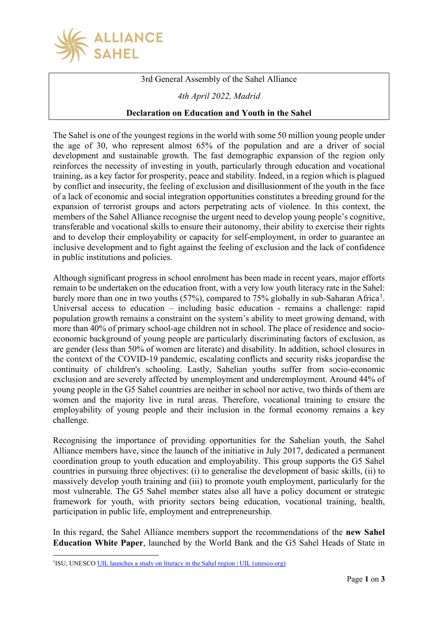

3rd General Assembly of the Sahel Alliance

*4th April 2022, Madrid*

## **Declaration on Education and Youth in the Sahel**

The Sahel is one of the youngest regions in the world with some 50 million young people under the age of 30, who represent almost 65% of the population and are a driver of social development and sustainable growth. The fast demographic expansion of the region only reinforces the necessity of investing in youth, particularly through education and vocational training, as a key factor for prosperity, peace and stability. Indeed, in a region which is plagued by conflict and insecurity, the feeling of exclusion and disillusionment of the youth in the face of a lack of economic and social integration opportunities constitutes a breeding ground for the expansion of terrorist groups and actors perpetrating acts of violence. In this context, the members of the Sahel Alliance recognise the urgent need to develop young people's cognitive, transferable and vocational skills to ensure their autonomy, their ability to exercise their rights and to develop their employability or capacity for self-employment, in order to guarantee an inclusive development and to fight against the feeling of exclusion and the lack of confidence in public institutions and policies.

Although significant progress in school enrolment has been made in recent years, major efforts remain to be undertaken on the education front, with a very low youth literacy rate in the Sahel: barely more than one in two youths (57%), compared to 75% globally in sub-Saharan Africa<sup>[1](#page-0-0)</sup>. Universal access to education – including basic education - remains a challenge: rapid population growth remains a constraint on the system's ability to meet growing demand, with more than 40% of primary school-age children not in school. The place of residence and socioeconomic background of young people are particularly discriminating factors of exclusion, as are gender (less than 50% of women are literate) and disability. In addition, school closures in the context of the COVID-19 pandemic, escalating conflicts and security risks jeopardise the continuity of children's schooling. Lastly, Sahelian youths suffer from socio-economic exclusion and are severely affected by unemployment and underemployment. Around 44% of young people in the G5 Sahel countries are neither in school nor active, two thirds of them are women and the majority live in rural areas. Therefore, vocational training to ensure the employability of young people and their inclusion in the formal economy remains a key challenge.

Recognising the importance of providing opportunities for the Sahelian youth, the Sahel Alliance members have, since the launch of the initiative in July 2017, dedicated a permanent coordination group to youth education and employability. This group supports the G5 Sahel countries in pursuing three objectives: (i) to generalise the development of basic skills, (ii) to massively develop youth training and (iii) to promote youth employment, particularly for the most vulnerable. The G5 Sahel member states also all have a policy document or strategic framework for youth, with priority sectors being education, vocational training, health, participation in public life, employment and entrepreneurship.

In this regard, the Sahel Alliance members support the recommendations of the **new Sahel Education White Paper**, launched by the World Bank and the G5 Sahel Heads of State in

<span id="page-0-0"></span><sup>&</sup>lt;sup>1</sup>ISU, UNESCO [UIL launches a study on literacy in the Sahel region | UIL \(unesco.org\)](https://uil.unesco.org/fr/alphabetisation/luil-lance-etude-lalphabetisation-region-du-sahel#:%7E:text=Le%20taux%20d%27alphab%C3%A9tisme%20des,67%20%25%20pour%20la%20moyenne%20mondiale.)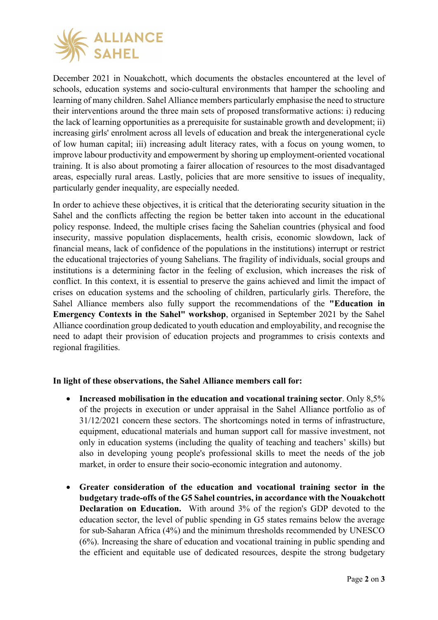

December 2021 in Nouakchott, which documents the obstacles encountered at the level of schools, education systems and socio-cultural environments that hamper the schooling and learning of many children. Sahel Alliance members particularly emphasise the need to structure their interventions around the three main sets of proposed transformative actions: i) reducing the lack of learning opportunities as a prerequisite for sustainable growth and development; ii) increasing girls' enrolment across all levels of education and break the intergenerational cycle of low human capital; iii) increasing adult literacy rates, with a focus on young women, to improve labour productivity and empowerment by shoring up employment-oriented vocational training. It is also about promoting a fairer allocation of resources to the most disadvantaged areas, especially rural areas. Lastly, policies that are more sensitive to issues of inequality, particularly gender inequality, are especially needed.

In order to achieve these objectives, it is critical that the deteriorating security situation in the Sahel and the conflicts affecting the region be better taken into account in the educational policy response. Indeed, the multiple crises facing the Sahelian countries (physical and food insecurity, massive population displacements, health crisis, economic slowdown, lack of financial means, lack of confidence of the populations in the institutions) interrupt or restrict the educational trajectories of young Sahelians. The fragility of individuals, social groups and institutions is a determining factor in the feeling of exclusion, which increases the risk of conflict. In this context, it is essential to preserve the gains achieved and limit the impact of crises on education systems and the schooling of children, particularly girls. Therefore, the Sahel Alliance members also fully support the recommendations of the **"Education in Emergency Contexts in the Sahel" workshop**, organised in September 2021 by the Sahel Alliance coordination group dedicated to youth education and employability, and recognise the need to adapt their provision of education projects and programmes to crisis contexts and regional fragilities.

## **In light of these observations, the Sahel Alliance members call for:**

- **Increased mobilisation in the education and vocational training sector**. Only 8,5% of the projects in execution or under appraisal in the Sahel Alliance portfolio as of 31/12/2021 concern these sectors. The shortcomings noted in terms of infrastructure, equipment, educational materials and human support call for massive investment, not only in education systems (including the quality of teaching and teachers' skills) but also in developing young people's professional skills to meet the needs of the job market, in order to ensure their socio-economic integration and autonomy.
- **Greater consideration of the education and vocational training sector in the budgetary trade-offs of the G5 Sahel countries, in accordance with the Nouakchott Declaration on Education.** With around 3% of the region's GDP devoted to the education sector, the level of public spending in G5 states remains below the average for sub-Saharan Africa (4%) and the minimum thresholds recommended by UNESCO (6%). Increasing the share of education and vocational training in public spending and the efficient and equitable use of dedicated resources, despite the strong budgetary